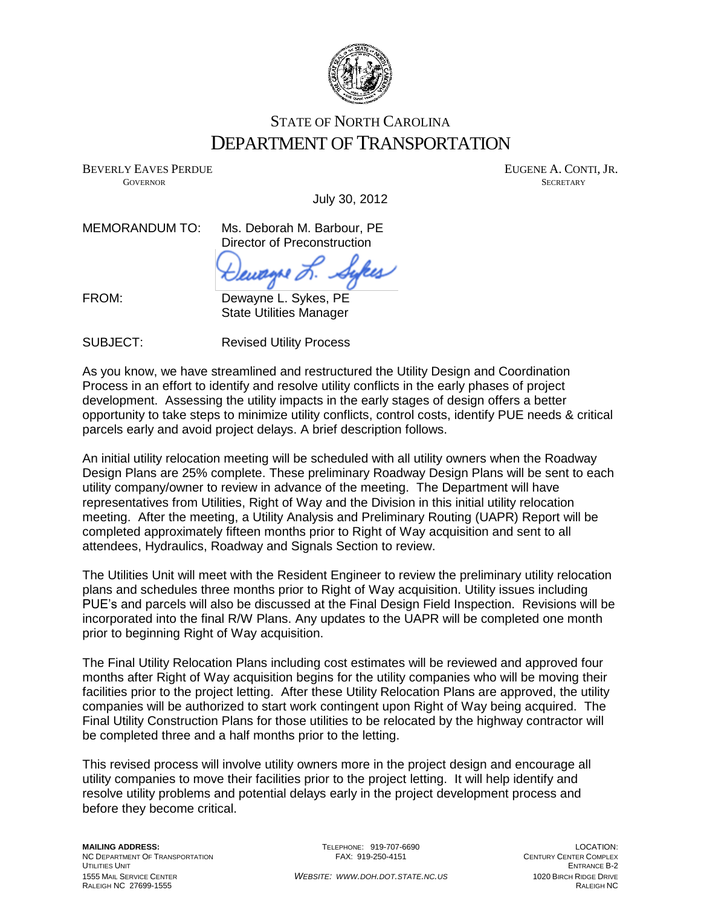

## STATE OF NORTH CAROLINA DEPARTMENT OF TRANSPORTATION

BEVERLY EAVES PERDUE THE SERVER OF THE SERVER AND THE SERVER AND THE SERVER AND THE SERVER ASSESSMENT OF THE SERVER OF THE SERVER OF THE SERVER OF THE SERVER OF THE SERVER OF THE SERVER OF THE SERVER OF THE SERVER OF THE S GOVERNOR SECRETARY SECRETARY SECRETARY SECRETARY SECRETARY SECRETARY SECRETARY SECRETARY

July 30, 2012

FROM:

MEMORANDUM TO: Ms. Deborah M. Barbour, PE Director of Preconstruction

ku

Dewayne L. Sykes, PE State Utilities Manager

SUBJECT: Revised Utility Process

As you know, we have streamlined and restructured the Utility Design and Coordination Process in an effort to identify and resolve utility conflicts in the early phases of project development. Assessing the utility impacts in the early stages of design offers a better opportunity to take steps to minimize utility conflicts, control costs, identify PUE needs & critical parcels early and avoid project delays. A brief description follows.

An initial utility relocation meeting will be scheduled with all utility owners when the Roadway Design Plans are 25% complete. These preliminary Roadway Design Plans will be sent to each utility company/owner to review in advance of the meeting. The Department will have representatives from Utilities, Right of Way and the Division in this initial utility relocation meeting. After the meeting, a Utility Analysis and Preliminary Routing (UAPR) Report will be completed approximately fifteen months prior to Right of Way acquisition and sent to all attendees, Hydraulics, Roadway and Signals Section to review.

The Utilities Unit will meet with the Resident Engineer to review the preliminary utility relocation plans and schedules three months prior to Right of Way acquisition. Utility issues including PUE's and parcels will also be discussed at the Final Design Field Inspection. Revisions will be incorporated into the final R/W Plans. Any updates to the UAPR will be completed one month prior to beginning Right of Way acquisition.

The Final Utility Relocation Plans including cost estimates will be reviewed and approved four months after Right of Way acquisition begins for the utility companies who will be moving their facilities prior to the project letting. After these Utility Relocation Plans are approved, the utility companies will be authorized to start work contingent upon Right of Way being acquired. The Final Utility Construction Plans for those utilities to be relocated by the highway contractor will be completed three and a half months prior to the letting.

This revised process will involve utility owners more in the project design and encourage all utility companies to move their facilities prior to the project letting. It will help identify and resolve utility problems and potential delays early in the project development process and before they become critical.